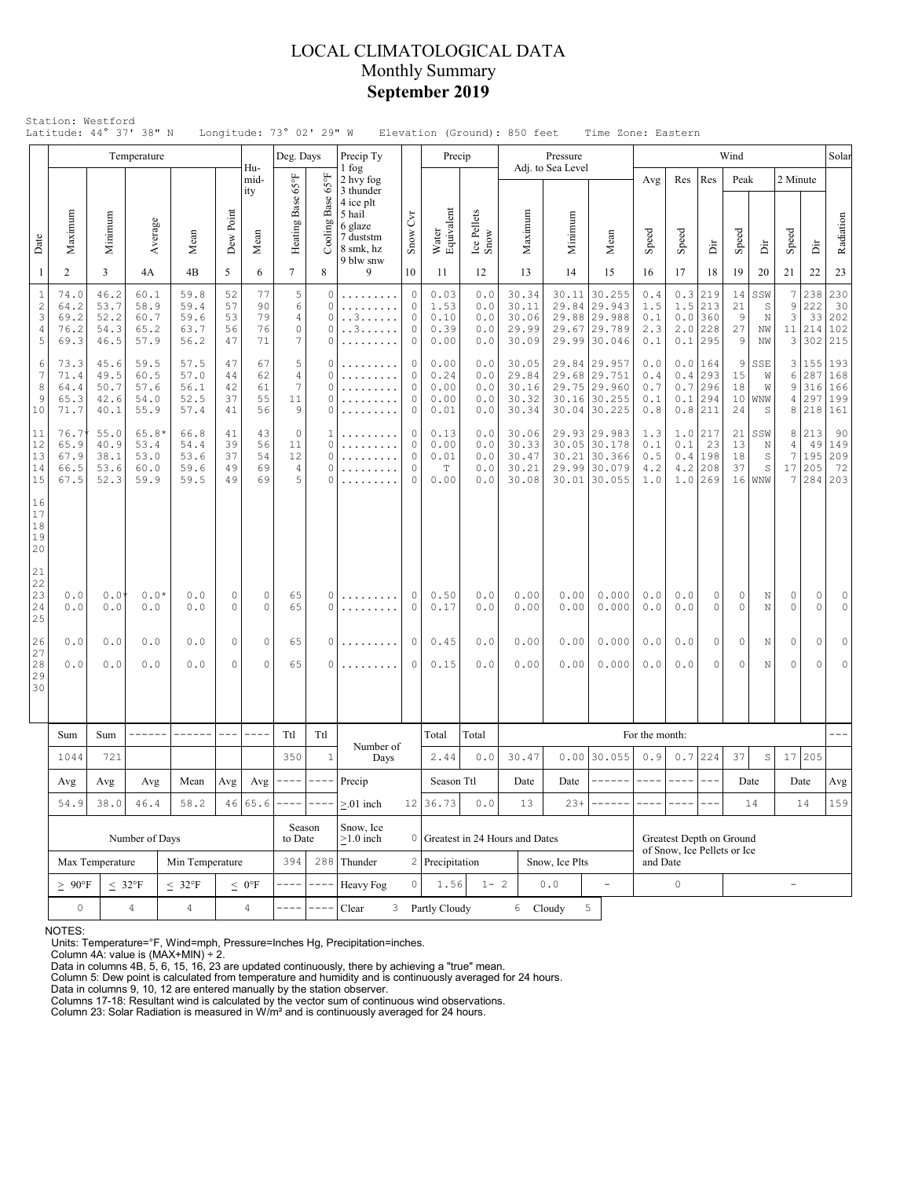## LOCAL CLIMATOLOGICAL DATA Monthly Summary **September 2019**

|                                                          |                                             |                                      | Temperature                             |                                      |                            |                            | Deg. Days                                          |                                     | Precip Ty                                                                                                |                                                     | Precip                                      |                                 |                                           | Pressure                     |                                                                              |                                 |                          |                                               | Wind                     |                                                           |                                       |                                 | Solar                           |
|----------------------------------------------------------|---------------------------------------------|--------------------------------------|-----------------------------------------|--------------------------------------|----------------------------|----------------------------|----------------------------------------------------|-------------------------------------|----------------------------------------------------------------------------------------------------------|-----------------------------------------------------|---------------------------------------------|---------------------------------|-------------------------------------------|------------------------------|------------------------------------------------------------------------------|---------------------------------|--------------------------|-----------------------------------------------|--------------------------|-----------------------------------------------------------|---------------------------------------|---------------------------------|---------------------------------|
| Date                                                     | Maximum                                     | Minimum                              | Average                                 | Mean                                 | Dew Point                  | Hu-<br>mid-<br>ity<br>Mean | Heating Base 65°F                                  | $_{\rm 959}$<br>Cooling Base        | 1 fog<br>2 hvy fog<br>3 thunder<br>4 ice plt<br>5 hail<br>6 glaze<br>7 duststm<br>8 smk, hz<br>9 blw snw | Snow Cvr                                            | Water<br>Equivalent                         | Ice Pellets<br>Snow             | Maximum                                   | Adj. to Sea Level<br>Minimum | Mean                                                                         | Avg<br>Speed                    | Res<br>Speed             | Res<br>$\dot{\Xi}$                            | Peak<br>Speed            | Èř                                                        | 2 Minute<br>Speed                     | È                               | Radiation                       |
| $\mathbf{1}$                                             | 2                                           | 3                                    | 4A                                      | 4B                                   | 5                          | 6                          | $7\overline{ }$                                    | 8                                   | 9                                                                                                        | 10                                                  | 11                                          | 12                              | 13                                        | 14                           | 15                                                                           | 16                              | 17                       | 18                                            | 19                       | 20                                                        | 21                                    | 22                              | 23                              |
| $\,1\,$<br>$\sqrt{2}$<br>3<br>4<br>5                     | 74.0<br>64.2<br>69.2<br>76.2<br>69.3        | 46.2<br>53.7<br>52.2<br>54.3<br>46.5 | 60.1<br>58.9<br>60.7<br>65.2<br>57.9    | 59.8<br>59.4<br>59.6<br>63.7<br>56.2 | 52<br>57<br>53<br>56<br>47 | 77<br>90<br>79<br>76<br>71 | $\mathbf 5$<br>6<br>$\overline{4}$<br>$\circ$<br>7 | 0<br>0<br>0<br>$\Omega$<br>0        | .<br>.<br>. . 3<br>. . 3.                                                                                | $\circ$<br>$\circ$<br>$\circ$<br>$\circ$<br>$\circ$ |                                             | 0.0<br>0.0<br>0.0<br>0.0<br>0.0 | 30.34<br>30.11<br>30.06<br>29.99<br>30.09 |                              | 30.11 30.255<br>29.84 29.943<br>29.88 29.988<br>29.67 29.789<br>29.99 30.046 | 0.4<br>1.5<br>0.1<br>2.3<br>0.1 | 0.3<br>1.5<br>2.0<br>0.1 | 219<br>213<br>$0.0$ 360<br>228<br>295         | 14<br>21<br>9<br>27<br>9 | SSW<br>S<br>$\mathbb N$<br>NW<br>NW                       | $\boldsymbol{7}$<br>9<br>3<br>11<br>3 | 238<br>222<br>33<br>214<br>302  | 230<br>30<br>202<br>102<br>215  |
| 6<br>7<br>8<br>9<br>10                                   | 73.3<br>71.4<br>64.4<br>65.3<br>71.7        | 45.6<br>49.5<br>50.7<br>42.6<br>40.1 | 59.5<br>60.5<br>57.6<br>54.0<br>55.9    | 57.5<br>57.0<br>56.1<br>52.5<br>57.4 | 47<br>44<br>42<br>37<br>41 | 67<br>62<br>61<br>55<br>56 | 5<br>$\overline{4}$<br>$\overline{7}$<br>11<br>9   | 0<br>$\Omega$<br>$\Omega$<br>0<br>0 | .                                                                                                        | 0<br>$\circ$<br>$\circ$<br>$\circ$<br>$\circ$       | 0.00<br>0.24<br>0.00<br>0.00<br>0.01        | 0.0<br>0.0<br>0.0<br>0.0<br>0.0 | 30.05<br>29.84<br>30.16<br>30.32<br>30.34 |                              | 29.84 29.957<br>29.68 29.751<br>29.75 29.960<br>30.16 30.255<br>30.04 30.225 | 0.0<br>0.4<br>0.7<br>0.1<br>0.8 | 0.0<br>0.4<br>0.7<br>0.1 | 164<br>293<br>296<br>294<br>$0.8$   211       | 9<br>15<br>18<br>24      | SSE<br>W<br>W<br>$10 $ WNW<br>S                           | 3 <br>6<br>9<br>4<br>8                | 155<br>287<br>316<br>297<br>218 | 193<br>168<br>166<br>199<br>161 |
| 11<br>12<br>13<br>14<br>15                               | 76.7<br>65.9<br>67.9<br>66.5<br>67.5        | 55.0<br>40.9<br>38.1<br>53.6<br>52.3 | $65.8*$<br>53.4<br>53.0<br>60.0<br>59.9 | 66.8<br>54.4<br>53.6<br>59.6<br>59.5 | 41<br>39<br>37<br>49<br>49 | 43<br>56<br>54<br>69<br>69 | $\circ$<br>11<br>12<br>4<br>5                      | 1<br>0<br>$\Omega$<br>$\Omega$<br>0 | .<br>.                                                                                                   | $\circ$<br>$\circ$<br>$\circ$<br>$\circ$<br>$\circ$ | 0.13<br>0.00<br>0.01<br>$\mathbb T$<br>0.00 | 0.0<br>0.0<br>0.0<br>0.0<br>0.0 | 30.06<br>30.33<br>30.47<br>30.21<br>30.08 |                              | 29.93 29.983<br>30.05 30.178<br>30.21 30.366<br>29.99 30.079<br>30.01 30.055 | 1.3<br>0.1<br>0.5<br>4.2<br>1.0 | 0.1<br>0.4<br>4.2        | $1.0$   217<br>23<br>198<br>208<br>$1.0$  269 | 13<br>18<br>37<br>16     | $21$ SSW<br>$\mathbb N$<br>$\mathbb S$<br>S<br><b>WNW</b> | 8<br>4<br>7<br>17<br>7                | 213<br>49<br>195<br>205<br>284  | 90<br>149<br>209<br>72<br>203   |
| 16<br>17<br>18<br>19<br>20<br>21<br>22<br>23<br>24<br>25 | 0.0<br>0.0                                  | 0.0<br>0.0                           | $0.0*$<br>0.0                           | 0.0<br>0.0                           | 0<br>0                     | $\circ$<br>0               | 65<br>65                                           | 0<br>$\Omega$                       | .<br>.                                                                                                   | 0<br>$\mathbf 0$                                    | 0.50<br>0.17                                | 0.0<br>0.0                      | 0.00<br>0.00                              | 0.00<br>0.00                 | 0.000<br>0.000                                                               | 0.0<br>$0.0$                    | 0.0<br>$0.0$             | 0<br>0                                        | 0<br>$\circ$             | Ν<br>$\mathbb N$                                          | 0<br>$\mathsf{O}\xspace$              | 0<br>0                          | 0<br>0                          |
| 26<br>27<br>28<br>29<br>30                               | 0.0<br>0.0                                  | 0.0<br>0.0                           | 0.0<br>0.0                              | 0.0<br>0.0                           | 0<br>$\mathbf 0$           | $\circ$<br>$\Omega$        | 65<br>65                                           | 0<br>$\Omega$                       | .<br>.                                                                                                   | $\circ$<br>$\mathbf 0$                              | 0.45<br>0.15                                | 0.0<br>0.0                      | 0.00<br>0.00                              | 0.00<br>0.00                 | 0.000<br>0.000                                                               | 0.0<br>0.0                      | 0.0<br>0.0               | 0<br>0                                        | 0<br>$\Omega$            | N<br>N                                                    | 0<br>0                                | 0<br>$\Omega$                   | $\circ$<br>$\circ$              |
|                                                          | Sum                                         | Sum                                  | ------                                  |                                      | $---$                      | $- - - -$                  | Ttl                                                | Ttl                                 |                                                                                                          |                                                     | Total                                       | Total                           |                                           |                              |                                                                              | For the month:                  |                          |                                               |                          |                                                           |                                       |                                 |                                 |
|                                                          | 1044                                        | 721                                  |                                         |                                      |                            |                            | 350                                                | $\mathbf{1}$                        | Number of<br>Days                                                                                        |                                                     | 2.44                                        | 0.0                             | 30.47                                     |                              | $0.00$ 30.055                                                                | 0.9                             |                          | $0.7$ 224                                     | 37                       | $\mathbb S$                                               | 17                                    | 205                             |                                 |
|                                                          | Avg                                         | Avg                                  | Avg                                     | Mean                                 | Avg                        |                            | Avg $\vert$ ----                                   | $\cdots\cdots$                      | Precip                                                                                                   |                                                     | Season Ttl                                  |                                 | Date                                      | Date                         | $- - - - - -$                                                                | $\frac{1}{2}$                   | $\frac{1}{2}$            | $- - -$                                       |                          | Date                                                      |                                       | Date                            | Avg                             |
|                                                          | 46.4<br>54.9<br>38.0                        |                                      |                                         | 58.2                                 |                            | 46 65.6                    |                                                    |                                     | $> 01$ inch                                                                                              |                                                     | 12 36.73                                    | $0.0$                           | 13                                        | $23+$                        |                                                                              |                                 |                          |                                               |                          | 14                                                        |                                       | 14                              | 159                             |
|                                                          | Number of Days                              |                                      |                                         |                                      |                            |                            | Season<br>to Date                                  |                                     | Snow, Ice<br>$\geq$ 1.0 inch                                                                             |                                                     | 0 Greatest in 24 Hours and Dates            |                                 |                                           |                              |                                                                              |                                 | Greatest Depth on Ground |                                               |                          |                                                           |                                       |                                 |                                 |
|                                                          |                                             | Max Temperature                      |                                         | Min Temperature                      |                            | 394                        |                                                    | $288$ Thunder                       |                                                                                                          | 2 Precipitation                                     |                                             |                                 | Snow, Ice Plts                            |                              | and Date                                                                     | of Snow, Ice Pellets or Ice     |                          |                                               |                          |                                                           |                                       |                                 |                                 |
|                                                          | $\geq~90^{\circ}\rm{F}$                     |                                      | $\leq 32^{\circ}F$                      | $\leq 32^{\circ}F$                   |                            | $\leq 0$ °F                |                                                    |                                     | Heavy Fog                                                                                                | $\circ$                                             | 1.56                                        | $1 - 2$                         |                                           | $0.0$                        | $\frac{1}{2}$                                                                | 0<br>÷,                         |                          |                                               |                          |                                                           |                                       |                                 |                                 |
|                                                          | $\circ$<br>$\overline{4}$<br>$\overline{4}$ |                                      |                                         |                                      |                            | $\overline{4}$             |                                                    |                                     | Clear                                                                                                    |                                                     | 3 Partly Cloudy                             |                                 |                                           | 6 Cloudy                     | 5                                                                            |                                 |                          |                                               |                          |                                                           |                                       |                                 |                                 |

NOTES:

Units: Temperature=°F, Wind=mph, Pressure=Inches Hg, Precipitation=inches. Column 4A: value is (MAX+MIN) ÷ 2. Data in columns 4B, 5, 6, 15, 16, 23 are updated continuously, there by achieving a "true" mean.

Column 5: Dew point is calculated from temperature and humidity and is continuously averaged for 24 hours. Data in columns 9, 10, 12 are entered manually by the station observer.

Columns 17-18: Resultant wind is calculated by the vector sum of continuous wind observations. Column 23: Solar Radiation is measured in W/m² and is continuously averaged for 24 hours.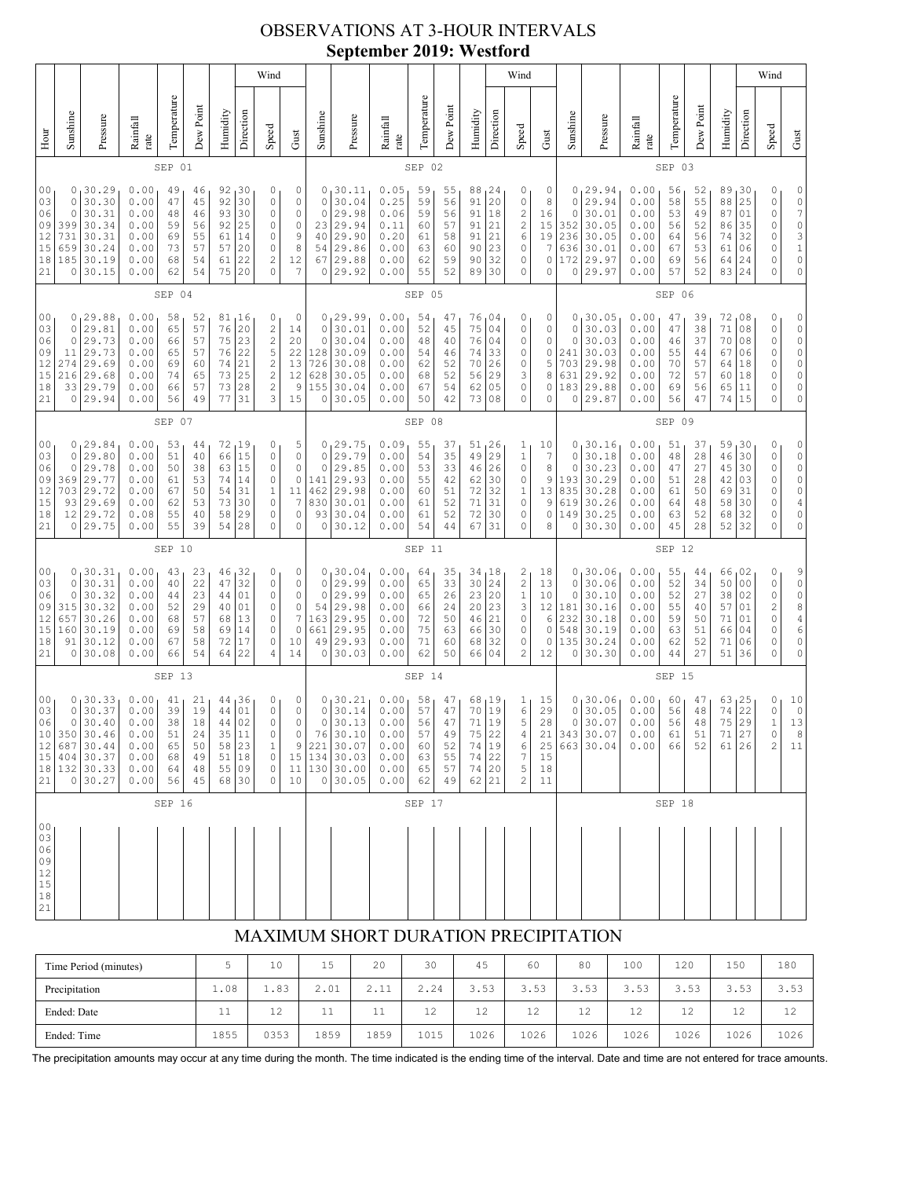## OBSERVATIONS AT 3-HOUR INTERVALS **September 2019: Westford**

|                                                          |                                                       |                                                                         |                                                                                         |                                              |                                              |                                              |                                                           | Wind                                                                                                                                                                                                                                                                                                         |                                                                                    |                                                           |                                                                                                |                                                              |                                              |                                              |                                                  |                                                                                      | Wind                                                                                       |                                                 |                                                    |                                                                         |                                                              |                                              |                                              |                                              |                                                           | Wind                                                                                                                                                            |                                                                                                                    |
|----------------------------------------------------------|-------------------------------------------------------|-------------------------------------------------------------------------|-----------------------------------------------------------------------------------------|----------------------------------------------|----------------------------------------------|----------------------------------------------|-----------------------------------------------------------|--------------------------------------------------------------------------------------------------------------------------------------------------------------------------------------------------------------------------------------------------------------------------------------------------------------|------------------------------------------------------------------------------------|-----------------------------------------------------------|------------------------------------------------------------------------------------------------|--------------------------------------------------------------|----------------------------------------------|----------------------------------------------|--------------------------------------------------|--------------------------------------------------------------------------------------|--------------------------------------------------------------------------------------------|-------------------------------------------------|----------------------------------------------------|-------------------------------------------------------------------------|--------------------------------------------------------------|----------------------------------------------|----------------------------------------------|----------------------------------------------|-----------------------------------------------------------|-----------------------------------------------------------------------------------------------------------------------------------------------------------------|--------------------------------------------------------------------------------------------------------------------|
| Hour                                                     | Sunshine                                              | Pressure                                                                | Rainfall<br>rate                                                                        | Temperature                                  | Dew Point                                    | Humidity                                     | Direction                                                 | Speed                                                                                                                                                                                                                                                                                                        | Gust                                                                               | Sunshine                                                  | Pressure                                                                                       | Rainfall<br>rate                                             | Temperature                                  | Dew Point                                    | Humidity                                         | Direction                                                                            | Speed                                                                                      | Gust                                            | Sunshine                                           | Pressure                                                                | Rainfall<br>rate                                             | Temperature                                  | Dew Point                                    | Humidity                                     | Direction                                                 | Speed                                                                                                                                                           | ${\rm Gust}$                                                                                                       |
|                                                          | SEP 01                                                |                                                                         |                                                                                         |                                              |                                              |                                              |                                                           |                                                                                                                                                                                                                                                                                                              |                                                                                    |                                                           | SEP 02                                                                                         |                                                              |                                              |                                              |                                                  |                                                                                      |                                                                                            |                                                 | SEP 03                                             |                                                                         |                                                              |                                              |                                              |                                              |                                                           |                                                                                                                                                                 |                                                                                                                    |
| 0 <sub>0</sub><br>03<br>06<br>09<br>12<br>15<br>18<br>21 | 0<br>0<br>0<br>399<br>731<br>659<br>185<br>0          | 30.29<br>30.30<br>30.31<br>30.34<br>30.31<br>30.24<br>30.19<br>30.15    | 0.00<br>0.00<br>0.00<br>0.00<br>0.00<br>0.00<br>0.00<br>0.00                            | 49<br>47<br>48<br>59<br>69<br>73<br>68<br>62 | 46<br>45<br>46<br>56<br>55<br>57<br>54<br>54 | 92<br>92<br>93<br>92<br>61<br>57<br>61<br>75 | 30<br>30<br>30<br>25<br>14<br>20<br>22<br>20              | 0<br>0<br>0<br>$\mathbb O$<br>0<br>0<br>$\mathbf{2}$<br>0                                                                                                                                                                                                                                                    | 0<br>0<br>0<br>$\mathbb O$<br>9<br>8<br>12<br>7                                    | 0<br>$\circ$<br>0<br>23<br>40<br>54<br>67<br>0            | 30.11<br>30.04<br>29.98<br>29.94<br>29.90<br>29.86<br>29.88<br>29.92                           | 0.05<br>0.25<br>0.06<br>0.11<br>0.20<br>0.00<br>0.00<br>0.00 | 59<br>59<br>59<br>60<br>61<br>63<br>62<br>55 | 55<br>56<br>56<br>57<br>58<br>60<br>59<br>52 | 88<br>91<br>91<br>91<br>91<br>90<br>90<br>89     | 24<br>20<br>18<br>21<br>21<br>23<br>32<br>30                                         | 0<br>0<br>$\overline{\mathbf{c}}$<br>$\overline{c}$<br>$\epsilon$<br>$\mathbb O$<br>0<br>0 | 0<br>8<br>16<br>15<br>19<br>7<br>0<br>0         | 0<br>0<br>$\circ$<br>352<br>236<br>636<br>172<br>0 | 29.94<br>29.94<br>30.01<br>30.05<br>30.05<br>30.01<br>29.97<br>29.97    | 0.00<br>0.00<br>0.00<br>0.00<br>0.00<br>0.00<br>0.00<br>0.00 | 56<br>58<br>53<br>56<br>64<br>67<br>69<br>57 | 52<br>55<br>49<br>52<br>56<br>53<br>56<br>52 | 89<br>88<br>87<br>86<br>74<br>61<br>64<br>83 | 30<br>25<br>01<br>35<br>32<br>06<br>24<br>24              | 0<br>0<br>0<br>0<br>0<br>0<br>0<br>0                                                                                                                            | 0<br>$\frac{0}{7}$<br>$\circ$<br>$\begin{array}{c} 3 \\ 1 \end{array}$<br>$\mathsf O$<br>$\circ$                   |
|                                                          |                                                       |                                                                         |                                                                                         | SEP 04                                       |                                              |                                              |                                                           |                                                                                                                                                                                                                                                                                                              |                                                                                    |                                                           |                                                                                                |                                                              | SEP 05                                       |                                              |                                                  |                                                                                      |                                                                                            |                                                 |                                                    |                                                                         |                                                              | SEP 06                                       |                                              |                                              |                                                           |                                                                                                                                                                 |                                                                                                                    |
| 00<br>03<br>06<br>09<br>12<br>15<br>18<br>21             | 0<br>$\mathbf 0$<br>0<br>11<br>274<br>216<br>33<br>0  | 129.88<br>29.81<br>29.73<br>29.73<br>29.69<br>29.68<br>29.79<br>29.94   | 0.00<br>0.00<br>0.00<br>0.00<br>0.00<br>0.00<br>0.00<br>0.00                            | 58<br>65<br>66<br>65<br>69<br>74<br>66<br>56 | 52<br>57<br>57<br>57<br>60<br>65<br>57<br>49 | 81<br>76<br>75<br>76<br>74<br>73<br>73<br>77 | <sub>1</sub> 16<br>20<br>23<br>22<br>21<br>25<br>28<br>31 | 0<br>$\mathfrak{2}% _{T}=\mathfrak{2}_{T}\!\left( a,b\right) ,\ \mathfrak{2}_{T}=\mathfrak{2}_{T}\!\left( a,b\right) ,$<br>$\mathfrak{2}% _{T}=\mathfrak{2}_{T}\!\left( a,b\right) ,\ \mathfrak{2}_{T}=\mathfrak{2}_{T}\!\left( a,b\right) ,$<br>$\mathsf S$<br>$\sqrt{2}$<br>$\sqrt{2}$<br>$\mathbf 2$<br>3 | 0<br>14<br>20<br>22<br>13<br>12<br>9<br>15                                         | $\circ$<br>$\circ$<br>128<br>726<br>628<br>155<br>$\circ$ | 0, 29.99<br>30.01<br>30.04<br>30.09<br>30.08<br>30.05<br>30.04<br>30.05                        | 0.00<br>0.00<br>0.00<br>0.00<br>0.00<br>0.00<br>0.00<br>0.00 | 54<br>52<br>48<br>54<br>62<br>68<br>67<br>50 | 47<br>45<br>40<br>46<br>52<br>52<br>54<br>42 | 76<br>75<br>76<br>74<br>70<br>56<br>62<br>73     | 04<br>04<br>04<br>33<br>26<br>29<br>05<br>08                                         | 0<br>$\mathbb O$<br>0<br>0<br>0<br>3<br>$\mathbb O$<br>0                                   | 0<br>0<br>0<br>0<br>5<br>8<br>0<br>0            | 0<br>0<br>0<br>241<br>703<br>631<br>183<br>0       | 30.05<br>30.03<br>30.03<br>30.03<br>29.98<br>29.92<br>29.88<br>29.87    | 0.00<br>0.00<br>0.00<br>0.00<br>0.00<br>0.00<br>0.00<br>0.00 | 47<br>47<br>46<br>55<br>70<br>72<br>69<br>56 | 39<br>38<br>37<br>44<br>57<br>57<br>56<br>47 | 72<br>71<br>70<br>67<br>64<br>60<br>65<br>74 | 08 ر<br>08<br>08<br>06<br>18<br>18<br>11<br>15            | 0<br>0<br>0<br>0<br>0<br>0<br>0<br>0                                                                                                                            | 0<br>$\circ$<br>$\circ$<br>$\circ$<br>$\circ$<br>$\mathbb O$<br>$\mathsf O$<br>$\mathsf O$                         |
|                                                          | SEP 07                                                |                                                                         |                                                                                         |                                              |                                              |                                              |                                                           |                                                                                                                                                                                                                                                                                                              |                                                                                    |                                                           |                                                                                                | SEP 08                                                       |                                              |                                              |                                                  |                                                                                      |                                                                                            |                                                 |                                                    |                                                                         | SEP 09                                                       |                                              |                                              |                                              |                                                           |                                                                                                                                                                 |                                                                                                                    |
| 00<br>03<br>06<br>09<br>12<br>15<br>18<br>21             | $\circ$<br>0<br>369<br>703<br>93<br>12<br>0           | 0, 29.84<br>29.80<br>29.78<br>29.77<br>29.72<br>29.69<br>29.72<br>29.75 | 0.00<br>0.00<br>0.00<br>0.00<br>0.00<br>0.00<br>0.08<br>0.00                            | 53<br>51<br>50<br>61<br>67<br>62<br>55<br>55 | 44<br>40<br>38<br>53<br>50<br>53<br>40<br>39 | 66<br>63<br>74<br>54<br>73<br>58<br>54       | 72,19<br>15<br>15<br>14<br>31<br>30<br>29<br>28           | 0<br>0<br>$\mathbb O$<br>0<br>$\,1$<br>$\mathbb O$<br>0<br>0                                                                                                                                                                                                                                                 | 5<br>$\mathbb O$<br>$\mathbb O$<br>$\circ$<br>11<br>$\overline{7}$<br>0<br>$\circ$ | $\circ$<br>0<br>141<br>462<br>830<br>93<br>$\circ$        | 0, 29.75<br>29.79<br>29.85<br>29.93<br>29.98<br>30.01<br>30.04<br>30.12                        | 0.09<br>0.00<br>0.00<br>0.00<br>0.00<br>0.00<br>0.00<br>0.00 | 55<br>54<br>53<br>55<br>60<br>61<br>61<br>54 | 37<br>35<br>33<br>42<br>51<br>52<br>52<br>44 | 51,26<br>49<br>46<br>62<br>72<br>71<br>72<br>67  | 29<br>26<br>30<br>32<br>31<br>30<br>31                                               | 1<br>$\,1$<br>$\mathbb O$<br>$\mathbb O$<br>$\,1$<br>$\mathbb O$<br>$\mathbb O$<br>0       | 10<br>7<br>$\,8\,$<br>9<br>13<br>9<br>0<br>8    | 0<br>$\circ$<br>193<br>835<br>619<br>149<br>0      | 0, 30.16<br>30.18<br>30.23<br>30.29<br>30.28<br>30.26<br>30.25<br>30.30 | 0.00<br>0.00<br>0.00<br>0.00<br>0.00<br>0.00<br>0.00<br>0.00 | 51<br>48<br>47<br>51<br>61<br>64<br>63<br>45 | 37<br>28<br>27<br>28<br>50<br>48<br>52<br>28 | 59<br>46<br>45<br>42<br>69<br>58<br>68<br>52 | 130<br>30<br>30<br>03<br>31<br>30<br>32<br>32             | 0<br>0<br>0<br>0<br>0<br>0<br>0<br>0                                                                                                                            | 0<br>$\circ$<br>$\circ$<br>$\circ$<br>$\circ$<br>$\sqrt{4}$<br>0<br>$\circ$                                        |
|                                                          |                                                       |                                                                         |                                                                                         | SEP 10                                       |                                              |                                              |                                                           |                                                                                                                                                                                                                                                                                                              |                                                                                    |                                                           |                                                                                                |                                                              | SEP 11                                       |                                              |                                                  |                                                                                      |                                                                                            |                                                 |                                                    |                                                                         |                                                              | SEP 12                                       |                                              |                                              |                                                           |                                                                                                                                                                 |                                                                                                                    |
| 00<br>03<br>06<br>09<br>12<br>15<br>18<br>21             | 0<br>$\mathbf 0$<br>0<br>315<br>657<br>160<br>91<br>0 | , 30.31<br>30.31<br>30.32<br>30.32<br>30.26<br>30.19<br>30.12<br>30.08  | 0.00<br>0.00<br>0.00<br>0.00<br>0.00<br>0.00<br>0.00<br>0.00                            | 43<br>40<br>44<br>52<br>68<br>69<br>67<br>66 | 23<br>22<br>23<br>29<br>57<br>58<br>58<br>54 | 46<br>47<br>44<br>40<br>68<br>69<br>72<br>64 | 32<br>32<br>01<br>01<br>13<br>14<br>17<br>22              | 0<br>$\mathbb O$<br>$\mathbb O$<br>0<br>0<br>0<br>0<br>4                                                                                                                                                                                                                                                     | 0<br>0<br>$\mathbb O$<br>0<br>$\boldsymbol{7}$<br>$\circ$<br>10<br>14              | 0<br>$\circ$<br>54<br>163<br>661<br>49<br>0               | 0, 30.04<br>29.99<br>29.99<br>29.98<br>29.95<br>29.95<br>29.93<br>30.03                        | 0.00<br>0.00<br>0.00<br>0.00<br>0.00<br>0.00<br>0.00<br>0.00 | 64<br>65<br>65<br>66<br>72<br>75<br>71<br>62 | 35<br>33<br>26<br>24<br>50<br>63<br>60<br>50 | 34<br>30<br>23<br>20<br>46<br>66<br>68<br>66     | 18<br>24<br> 20<br>23<br>21<br>30<br>32<br>04                                        | $\frac{2}{2}$<br>$\,1\,$<br>3<br>$\mathbb O$<br>$\mathbb O$<br>$\mathbb O$<br>2            | 18<br>13<br>10<br>12<br>6<br>$\circ$<br>0<br>12 | 0<br>0<br>0<br>181<br>232<br>548<br>135<br>0       | 30.06<br>30.06<br>30.10<br>30.16<br>30.18<br>30.19<br>30.24<br>30.30    | 0.00<br>0.00<br>0.00<br>0.00<br>0.00<br>0.00<br>0.00<br>0.00 | 55<br>52<br>52<br>55<br>59<br>63<br>62<br>44 | 44<br>34<br>27<br>40<br>50<br>51<br>52<br>27 | 66<br>50<br>38<br>57<br>71<br>66<br>71<br>51 | 102<br>0 <sub>0</sub><br>02<br>01<br>01<br>04<br>06<br>36 | 0<br>0<br>0<br>$\mathfrak{2}% _{T}=\mathfrak{2}_{T}\!\left( a,b\right) ,\ \mathfrak{2}_{T}=\mathfrak{2}_{T}\!\left( a,b\right) ,$<br>$\mathbb O$<br>0<br>0<br>0 | $\begin{matrix} 9 \\ 0 \end{matrix}$<br>$\circ$<br>8<br>$\overline{4}$<br>$\epsilon$<br>$\mathsf O$<br>$\mathsf O$ |
|                                                          |                                                       |                                                                         |                                                                                         | SEP 13                                       |                                              |                                              |                                                           |                                                                                                                                                                                                                                                                                                              |                                                                                    |                                                           |                                                                                                |                                                              | SEP 14                                       |                                              |                                                  |                                                                                      |                                                                                            |                                                 |                                                    |                                                                         |                                                              | SEP 15                                       |                                              |                                              |                                                           |                                                                                                                                                                 |                                                                                                                    |
| 00<br>03<br>06<br>10<br>12<br>$1\,5$<br>18<br>21         | 0<br>0<br>350<br>687<br>404<br>132<br>0               | 0, 30.33<br>30.37<br>30.40<br>30.46<br>30.44<br>30.37<br>30.33<br>30.27 | 0.00<br>0.00<br>${\bf 0}$ . ${\bf 0}$ ${\bf 0}$<br>0.00<br>0.00<br>0.00<br>0.00<br>0.00 | 41<br>39<br>38<br>51<br>65<br>68<br>64<br>56 | 21<br>19<br>18<br>24<br>50<br>49<br>48<br>45 | 44<br>44<br>35<br>58<br>51<br>55<br>68       | 44, 36<br>01<br>02<br>11<br>23<br>$1\,8$<br>09<br>30      | 0<br>$\mathsf{O}\xspace$<br>0<br>0<br>$1\,$<br>$\mathsf{O}\xspace$<br>0<br>$\mathsf{O}\xspace$                                                                                                                                                                                                               | 0<br>$\mathbb O$<br>$\mathbb O$<br>0<br>9<br>15<br>10                              | 0<br>$\circ$<br>$\,$ $\,$ $\,$ $\,$<br>76<br>221<br>134   | 130.21<br>30.14<br>30.13<br>30.10<br>$30.07$<br>$30.03$<br>$11 \mid 130 \mid 30.00$<br>0 30.05 | 0.00<br>0.00<br>0.00<br>0.00<br>0.00<br>0.00<br>0.00<br>0.00 | 58<br>57<br>56<br>57<br>60<br>63<br>65<br>62 | 47<br>47<br>47<br>49<br>52<br>55<br>57<br>49 | 68<br>70<br>71<br>75<br>74<br>74<br>$7\,4$<br>62 | 19,<br> 19<br>19<br>22<br>$\begin{array}{ c c }\n19 \\ 22\n\end{array}$<br> 20<br>21 | 1<br>6<br>$\mathbf 5$<br>4<br>6<br>7<br>5<br>$\sqrt{2}$                                    | 15<br>29<br>28<br>21<br>25<br>15<br>$18$<br>11  | 0<br>0<br>0                                        | 30.06<br>30.05<br>30.07<br>343 30.07<br>663 30.04                       | 0.00<br>0.00<br>0.00<br>0.00<br>0.00                         | 60<br>56<br>56<br>61<br>66                   | 47<br>48<br>48<br>51<br>52                   | 63<br>74<br>75<br>71<br>$61$   26            | 125<br>22<br>29<br>27                                     | 0<br>0<br>$1\,$<br>0<br>$\sqrt{2}$                                                                                                                              | 10<br>$\circ$<br>13<br>8<br>11                                                                                     |
|                                                          |                                                       |                                                                         |                                                                                         | SEP 16                                       |                                              |                                              |                                                           |                                                                                                                                                                                                                                                                                                              |                                                                                    |                                                           |                                                                                                |                                                              | SEP 17                                       |                                              |                                                  |                                                                                      |                                                                                            |                                                 |                                                    |                                                                         |                                                              | SEP 18                                       |                                              |                                              |                                                           |                                                                                                                                                                 |                                                                                                                    |
| 00<br>03<br>06<br>09<br>12<br>$15\,$<br>18<br>21         |                                                       |                                                                         |                                                                                         |                                              |                                              |                                              |                                                           |                                                                                                                                                                                                                                                                                                              |                                                                                    |                                                           |                                                                                                |                                                              |                                              |                                              |                                                  |                                                                                      |                                                                                            |                                                 |                                                    |                                                                         |                                                              |                                              |                                              |                                              |                                                           |                                                                                                                                                                 |                                                                                                                    |

# MAXIMUM SHORT DURATION PRECIPITATION

| Time Period (minutes) |      | 10                | 15        | 20        | 30       | 45           | 60           | 80                   | 100  | 120                   | 150                  | 180      |
|-----------------------|------|-------------------|-----------|-----------|----------|--------------|--------------|----------------------|------|-----------------------|----------------------|----------|
| Precipitation         | 1.08 | 1.83              | 2.01      | 2.11      | 2.24     | 3.53         | 3.53         | 3.53                 | 3.53 | 52<br>$\sim$<br>ں ۔ ۔ | $\sim$<br>52<br>.    | 3.53     |
| Ended: Date           | ᆂᆂ   | $1^{\circ}$<br>ᅩᄼ | <b>++</b> | <b>++</b> | 12<br>ᅩᄼ | $\sim$<br>ᅩᄼ | $\sim$<br>∸∸ | 1 <sub>0</sub><br>ᆂᄼ | 12   | 1.2<br>ᅩᄼ             | 1 <sub>0</sub><br>ᆂᄼ | 12<br>∸∸ |
| Ended: Time           | 1855 | 0353              | 1859      | 1859      | 1015     | 1026         | 1026         | 1026                 | 1026 | 1026                  | 1026                 | 1026     |

The precipitation amounts may occur at any time during the month. The time indicated is the ending time of the interval. Date and time are not entered for trace amounts.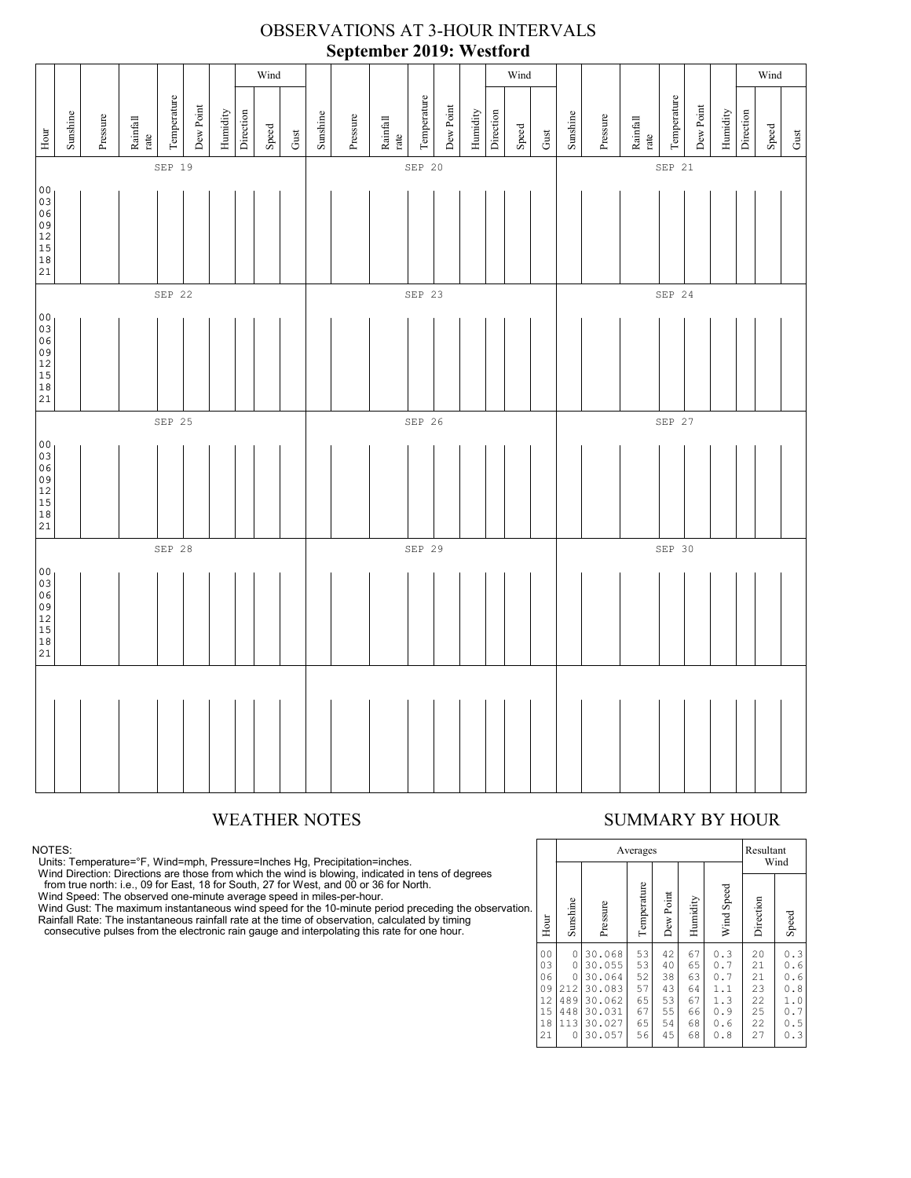#### Wind Wind Wind Temperature Temperature Temperature Temperature Temperature Temperature Dew Point Dew Point Dew Point Dew Point Dew Point Dew Point Humidity Direction Direction Humidity Sunshine Direction Pressure Humidity Pressure Sunshine Rainfall Pressure Rainfall Sunshine Rainfall rate Speed Speed Speed Hour Gust 21Hour Gust Gust rate rate SEP 19 SEP 20 SEP 20 SEP 20 SEP 21 00<br>03<br>06<br>09<br>12<br>15 18 21 SEP 22 SEP 23 SEP 25 SEP 25 SEP 25 SEP 25 SEP 24 00  $\overline{03}$ 06 09 12 15 18 21 SEP 25 SEP 26 SEP 26 SEP 27 SEP 27  $|00|$ 03 06 09 12 15 18 21 SEP 28 SEP 29 SEP 29 SEP 30 00 03 06 09 12 15 18  $\overline{21}$

#### OBSERVATIONS AT 3-HOUR INTERVALS **September 2019: Westford**

NOTES:

Units: Temperature=°F, Wind=mph, Pressure=Inches Hg, Precipitation=inches.<br>Wind Direction: Directions are those from which the wind is blowing, indicated in tens of degrees<br>from true north: i.e., 09 for East, 18 for South,

Wind Gust: The maximum instantaneous wind speed for the 10-minute period preceding the observation.<br>Rainfall Rate: The instantaneous rainfall rate at the time of observation, calculated by timing<br>consecutive pulses from th

# WEATHER NOTES SUMMARY BY HOUR

|    |                                                          |                                                     |                                                                              | Averages                                     |                                              |                                              |                                                      | Resultant<br>Wind                            |                                                               |  |  |  |
|----|----------------------------------------------------------|-----------------------------------------------------|------------------------------------------------------------------------------|----------------------------------------------|----------------------------------------------|----------------------------------------------|------------------------------------------------------|----------------------------------------------|---------------------------------------------------------------|--|--|--|
| ì. | Hour                                                     | Sunshine                                            | Pressure                                                                     | Temperature                                  | Dew Point                                    | Humidity                                     | Wind Speed                                           | Direction                                    | Speed                                                         |  |  |  |
|    | 0 <sub>0</sub><br>03<br>06<br>09<br>12<br>15<br>18<br>21 | 0<br>0<br>$\Omega$<br>212<br>489<br>448<br>113<br>0 | 30.068<br>30.055<br>30.064<br>30.083<br>30.062<br>30.031<br>30.027<br>30.057 | 53<br>53<br>52<br>57<br>65<br>67<br>65<br>56 | 42<br>40<br>38<br>43<br>53<br>55<br>54<br>45 | 67<br>65<br>63<br>64<br>67<br>66<br>68<br>68 | 0.3<br>0.7<br>0.7<br>1.1<br>1.3<br>0.9<br>0.6<br>0.8 | 20<br>21<br>21<br>23<br>22<br>25<br>22<br>27 | 0.3<br>0<br>.6<br>0<br>. 6<br>0.8<br>1.0<br>0.7<br>0.5<br>0.3 |  |  |  |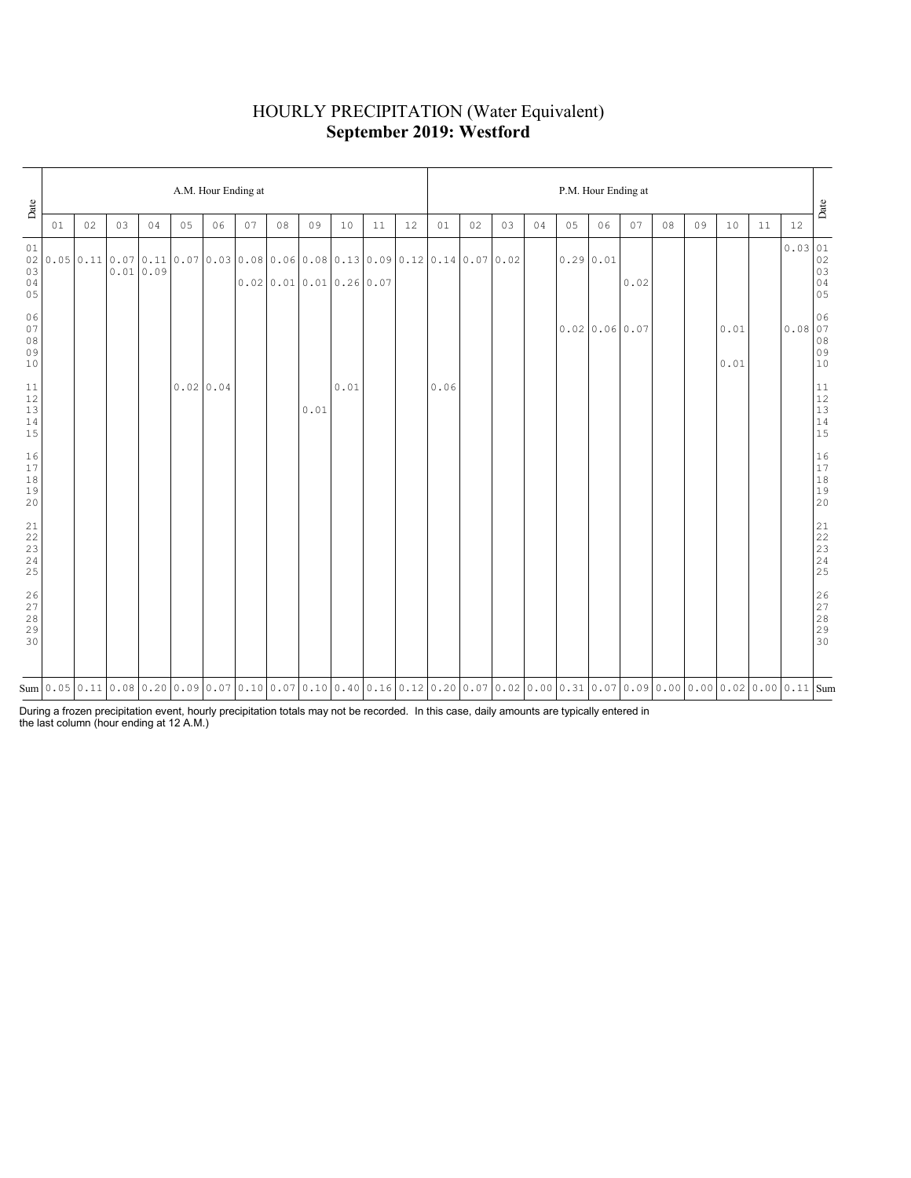# HOURLY PRECIPITATION (Water Equivalent) **September 2019: Westford**

| Date                                                             | A.M. Hour Ending at |    |    |          |    |           |    |    |      |                       |                                                                                                                                                                                                                                                                                                                                   |    |      |    | P.M. Hour Ending at |    |    |                  |      |    |    |                                                                   |    |                                                                          |                                                           |  |  |  |
|------------------------------------------------------------------|---------------------|----|----|----------|----|-----------|----|----|------|-----------------------|-----------------------------------------------------------------------------------------------------------------------------------------------------------------------------------------------------------------------------------------------------------------------------------------------------------------------------------|----|------|----|---------------------|----|----|------------------|------|----|----|-------------------------------------------------------------------|----|--------------------------------------------------------------------------|-----------------------------------------------------------|--|--|--|
|                                                                  | 01                  | 02 | 03 | 04       | 05 | 06        | 07 | 08 | 09   | 10                    | 11                                                                                                                                                                                                                                                                                                                                | 12 | 01   | 02 | 03                  | 04 | 05 | 06               | 07   | 08 | 09 | 10                                                                | 11 | 12                                                                       | Date                                                      |  |  |  |
| 01<br>02 <br>03<br>$0\,4$<br>05                                  |                     |    |    | 0.010.09 |    |           |    |    |      | 0.0200.010.010.260.07 | $0.05$   $0.11$   $0.07$   $0.11$   $0.07$   $0.03$   $0.08$   $0.06$   $0.08$   $0.13$   $0.09$   $0.12$   $0.14$   $0.07$   $0.02$                                                                                                                                                                                              |    |      |    |                     |    |    | $0.29 \mid 0.01$ | 0.02 |    |    |                                                                   |    | $\begin{array}{r l} 0.03 & 01 \\ 02 & 03 \\ 03 & 04 \\ 05 & \end{array}$ |                                                           |  |  |  |
| 06<br>$07$<br>$0\,8$<br>09<br>$10$                               |                     |    |    |          |    |           |    |    |      |                       |                                                                                                                                                                                                                                                                                                                                   |    |      |    |                     |    |    | 0.0200.0600.07   |      |    |    | 0.01<br>$\ensuremath{\text{0}}$ . $\ensuremath{\text{0}}\text{1}$ |    | $\begin{array}{c c} 0.08 & 06 \\ 0.08 & 07 \end{array}$                  | $08$<br>$09$<br>$10$                                      |  |  |  |
| 11<br>$12$<br>$13$<br>$14$<br>15                                 |                     |    |    |          |    | 0.0200.04 |    |    | 0.01 | 0.01                  |                                                                                                                                                                                                                                                                                                                                   |    | 0.06 |    |                     |    |    |                  |      |    |    |                                                                   |    |                                                                          | $\begin{array}{c} 11 \\ 12 \\ 13 \\ 14 \\ 15 \end{array}$ |  |  |  |
| 16<br>17<br>18<br>19<br>20                                       |                     |    |    |          |    |           |    |    |      |                       |                                                                                                                                                                                                                                                                                                                                   |    |      |    |                     |    |    |                  |      |    |    |                                                                   |    |                                                                          | 16<br>17<br>18<br>19<br>19<br>20                          |  |  |  |
| $\begin{array}{c} 21 \\ 22 \end{array}$<br>$\frac{23}{24}$<br>25 |                     |    |    |          |    |           |    |    |      |                       |                                                                                                                                                                                                                                                                                                                                   |    |      |    |                     |    |    |                  |      |    |    |                                                                   |    |                                                                          |                                                           |  |  |  |
| 26<br>27<br>28<br>29<br>30                                       |                     |    |    |          |    |           |    |    |      |                       |                                                                                                                                                                                                                                                                                                                                   |    |      |    |                     |    |    |                  |      |    |    |                                                                   |    |                                                                          | 26<br>27<br>28<br>29<br>29                                |  |  |  |
|                                                                  |                     |    |    |          |    |           |    |    |      |                       | $\text{Sum}\left[0.05\left[0.11\left[0.08\left[0.20\left[0.09\left[0.07\left[0.10\left[0.07\left[0.10\left[0.07\left[0.16\left[0.12\left[0.20\left[0.07\left[0.02\left[0.00\left[0.31\left[0.07\left[0.06\left[0.03\left[0.07\left[0.06\left[0.03\left[0.06\left[0.03\left[0.06\left[0.03\left[0.06\left[0.03\left[0.03\left[0.0$ |    |      |    |                     |    |    |                  |      |    |    |                                                                   |    |                                                                          |                                                           |  |  |  |

During a frozen precipitation event, hourly precipitation totals may not be recorded. In this case, daily amounts are typically entered in the last column (hour ending at 12 A.M.)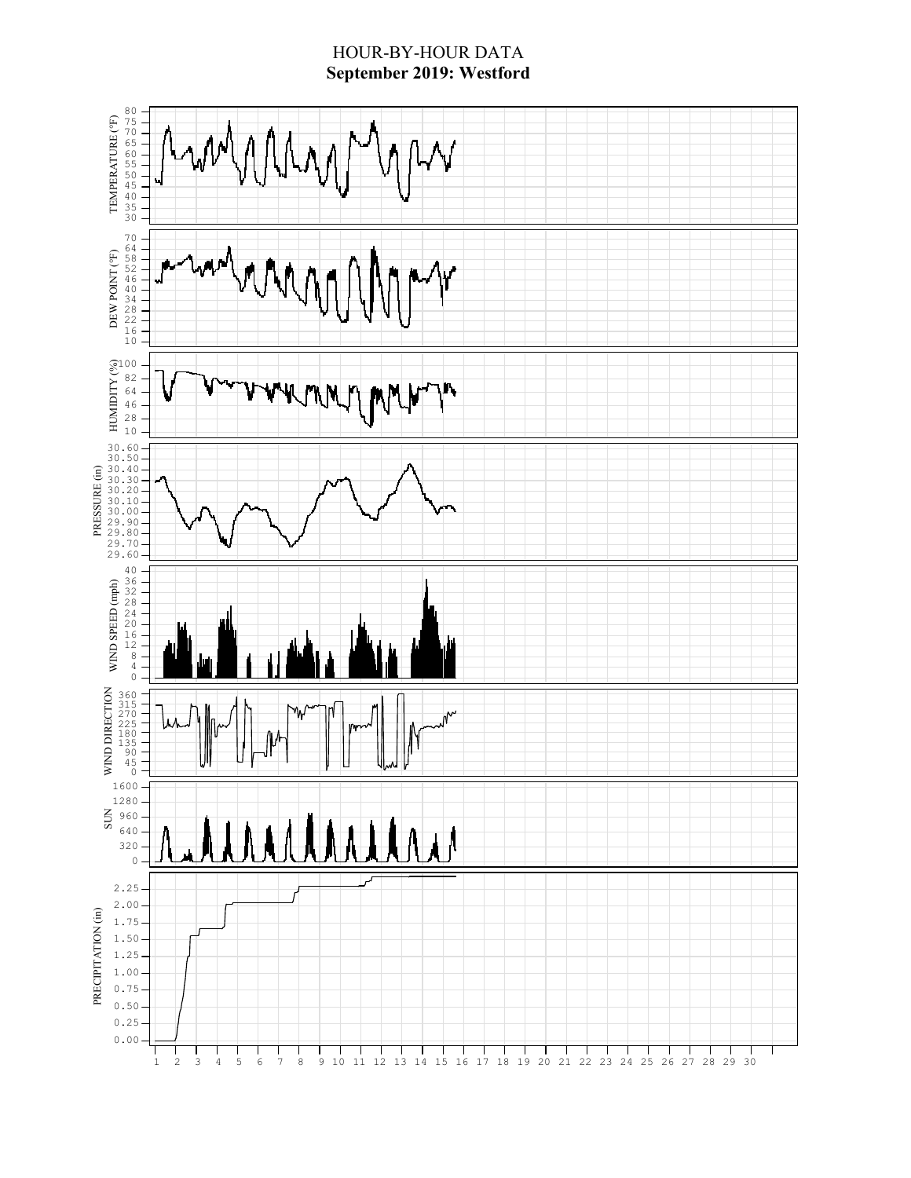#### HOUR-BY-HOUR DATA **September 2019: Westford**